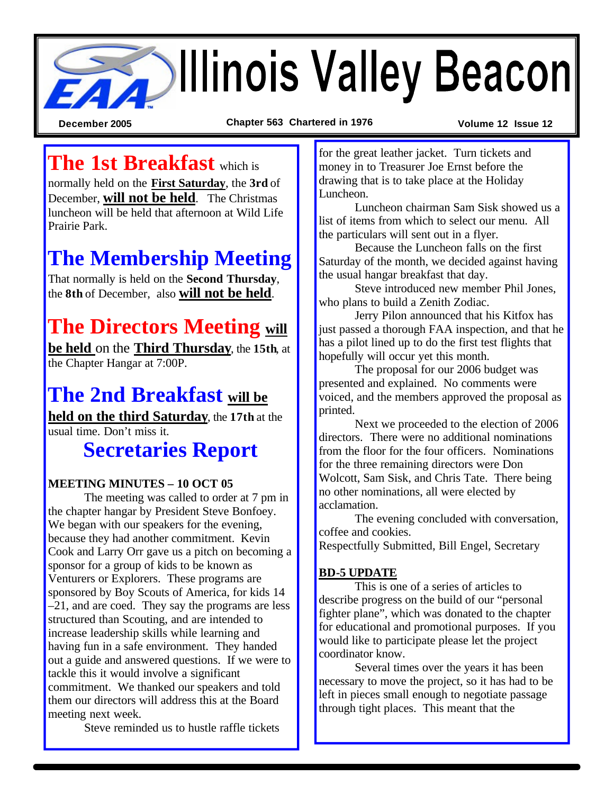# **Beacon**

**December 2005 Chapter 563 Chartered in 1976 Volume 12 Issue 12**

**The 1st Breakfast** which is

normally held on the **First Saturday**, the **3rd** of December, **will not be held**. The Christmas luncheon will be held that afternoon at Wild Life Prairie Park.

## **The Membership Meeting**

That normally is held on the **Second Thursday**, the **8th** of December, also **will not be held**.

## **The Directors Meeting will**

**be held** on the **Third Thursday**, the **15th**, at the Chapter Hangar at 7:00P.

## **The 2nd Breakfast will be**

**held on the third Saturday**, the **17th** at the usual time. Don't miss it.

## **Secretaries Report**

#### **MEETING MINUTES – 10 OCT 05**

The meeting was called to order at 7 pm in the chapter hangar by President Steve Bonfoey. We began with our speakers for the evening, because they had another commitment. Kevin Cook and Larry Orr gave us a pitch on becoming a sponsor for a group of kids to be known as Venturers or Explorers. These programs are sponsored by Boy Scouts of America, for kids 14 –21, and are coed. They say the programs are less structured than Scouting, and are intended to increase leadership skills while learning and having fun in a safe environment. They handed out a guide and answered questions. If we were to tackle this it would involve a significant commitment. We thanked our speakers and told them our directors will address this at the Board meeting next week.

Steve reminded us to hustle raffle tickets

for the great leather jacket. Turn tickets and money in to Treasurer Joe Ernst before the drawing that is to take place at the Holiday Luncheon.

Luncheon chairman Sam Sisk showed us a list of items from which to select our menu. All the particulars will sent out in a flyer.

Because the Luncheon falls on the first Saturday of the month, we decided against having the usual hangar breakfast that day.

Steve introduced new member Phil Jones, who plans to build a Zenith Zodiac.

Jerry Pilon announced that his Kitfox has just passed a thorough FAA inspection, and that he has a pilot lined up to do the first test flights that hopefully will occur yet this month.

The proposal for our 2006 budget was presented and explained. No comments were voiced, and the members approved the proposal as printed.

Next we proceeded to the election of 2006 directors. There were no additional nominations from the floor for the four officers. Nominations for the three remaining directors were Don Wolcott, Sam Sisk, and Chris Tate. There being no other nominations, all were elected by acclamation.

The evening concluded with conversation, coffee and cookies. Respectfully Submitted, Bill Engel, Secretary

#### **BD-5 UPDATE**

This is one of a series of articles to describe progress on the build of our "personal fighter plane", which was donated to the chapter for educational and promotional purposes. If you would like to participate please let the project coordinator know.

Several times over the years it has been necessary to move the project, so it has had to be left in pieces small enough to negotiate passage through tight places. This meant that the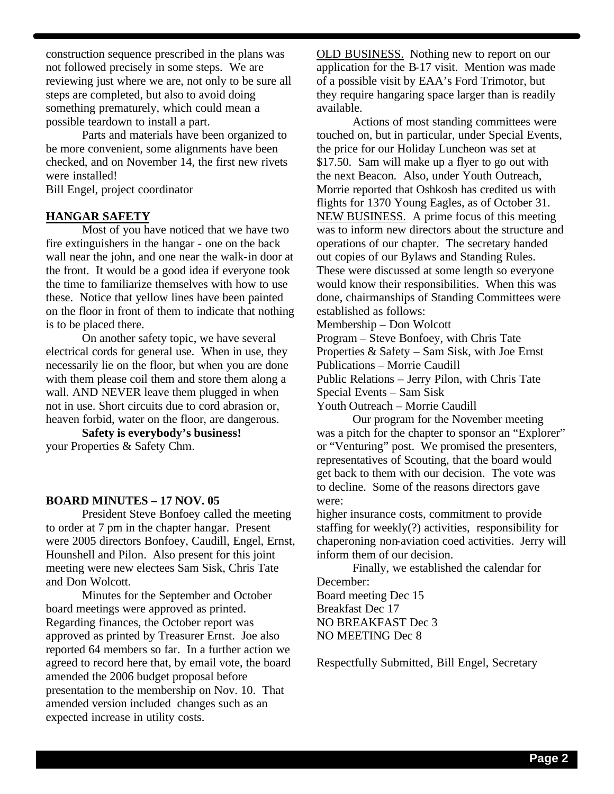construction sequence prescribed in the plans was not followed precisely in some steps. We are reviewing just where we are, not only to be sure all steps are completed, but also to avoid doing something prematurely, which could mean a possible teardown to install a part.

Parts and materials have been organized to be more convenient, some alignments have been checked, and on November 14, the first new rivets were installed!

Bill Engel, project coordinator

#### **HANGAR SAFETY**

Most of you have noticed that we have two fire extinguishers in the hangar - one on the back wall near the john, and one near the walk-in door at the front. It would be a good idea if everyone took the time to familiarize themselves with how to use these. Notice that yellow lines have been painted on the floor in front of them to indicate that nothing is to be placed there.

On another safety topic, we have several electrical cords for general use. When in use, they necessarily lie on the floor, but when you are done with them please coil them and store them along a wall. AND NEVER leave them plugged in when not in use. Short circuits due to cord abrasion or, heaven forbid, water on the floor, are dangerous.

**Safety is everybody's business!** your Properties & Safety Chm.

#### **BOARD MINUTES – 17 NOV. 05**

President Steve Bonfoey called the meeting to order at 7 pm in the chapter hangar. Present were 2005 directors Bonfoey, Caudill, Engel, Ernst, Hounshell and Pilon. Also present for this joint meeting were new electees Sam Sisk, Chris Tate and Don Wolcott.

Minutes for the September and October board meetings were approved as printed. Regarding finances, the October report was approved as printed by Treasurer Ernst. Joe also reported 64 members so far. In a further action we agreed to record here that, by email vote, the board amended the 2006 budget proposal before presentation to the membership on Nov. 10. That amended version included changes such as an expected increase in utility costs.

OLD BUSINESS. Nothing new to report on our application for the B-17 visit. Mention was made of a possible visit by EAA's Ford Trimotor, but they require hangaring space larger than is readily available.

Actions of most standing committees were touched on, but in particular, under Special Events, the price for our Holiday Luncheon was set at \$17.50. Sam will make up a flyer to go out with the next Beacon. Also, under Youth Outreach, Morrie reported that Oshkosh has credited us with flights for 1370 Young Eagles, as of October 31. NEW BUSINESS. A prime focus of this meeting was to inform new directors about the structure and operations of our chapter. The secretary handed out copies of our Bylaws and Standing Rules. These were discussed at some length so everyone would know their responsibilities. When this was done, chairmanships of Standing Committees were established as follows:

Membership – Don Wolcott

Program – Steve Bonfoey, with Chris Tate

Properties & Safety – Sam Sisk, with Joe Ernst Publications – Morrie Caudill

Public Relations – Jerry Pilon, with Chris Tate Special Events – Sam Sisk

Youth Outreach – Morrie Caudill

Our program for the November meeting was a pitch for the chapter to sponsor an "Explorer" or "Venturing" post. We promised the presenters, representatives of Scouting, that the board would get back to them with our decision. The vote was to decline. Some of the reasons directors gave were:

higher insurance costs, commitment to provide staffing for weekly(?) activities, responsibility for chaperoning non-aviation coed activities. Jerry will inform them of our decision.

Finally, we established the calendar for December: Board meeting Dec 15 Breakfast Dec 17 NO BREAKFAST Dec 3 NO MEETING Dec 8

Respectfully Submitted, Bill Engel, Secretary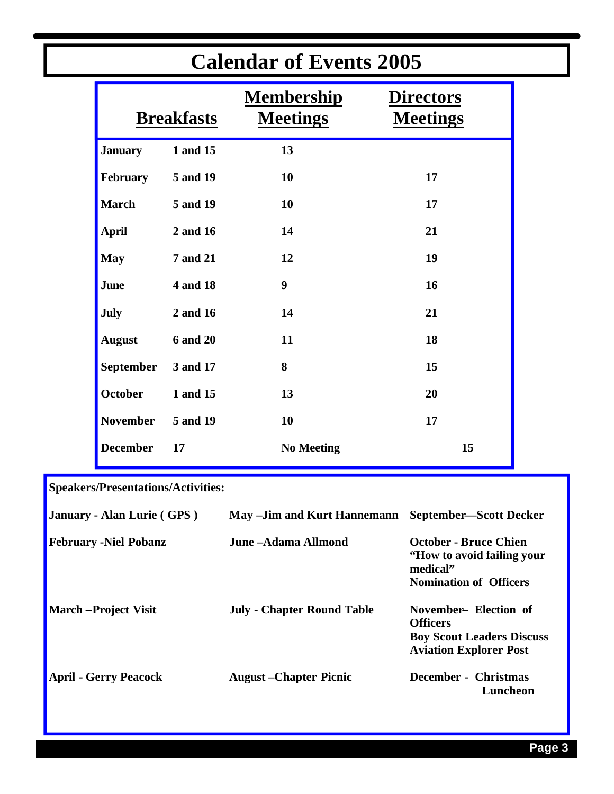| <b>Calendar of Events 2005</b> |                   |                                      |                                     |  |  |
|--------------------------------|-------------------|--------------------------------------|-------------------------------------|--|--|
|                                | <b>Breakfasts</b> | <b>Membership</b><br><b>Meetings</b> | <b>Directors</b><br><b>Meetings</b> |  |  |
| <b>January</b>                 | 1 and 15          | 13                                   |                                     |  |  |
| February                       | 5 and 19          | 10                                   | 17                                  |  |  |
| <b>March</b>                   | 5 and 19          | 10                                   | 17                                  |  |  |
| <b>April</b>                   | 2 and 16          | 14                                   | 21                                  |  |  |
| <b>May</b>                     | <b>7 and 21</b>   | 12                                   | 19                                  |  |  |
| June                           | 4 and 18          | 9                                    | 16                                  |  |  |
| July                           | 2 and 16          | 14                                   | 21                                  |  |  |
| <b>August</b>                  | <b>6 and 20</b>   | 11                                   | 18                                  |  |  |
| <b>September</b>               | 3 and 17          | 8                                    | 15                                  |  |  |
| October                        | 1 and 15          | 13                                   | 20                                  |  |  |
| <b>November</b>                | 5 and 19          | 10                                   | 17                                  |  |  |
| <b>December</b>                | 17                | <b>No Meeting</b>                    | 15                                  |  |  |

### **Calendar of Events 2005**

**Speakers/Presentations/Activities:**

| January - Alan Lurie (GPS)   | May - Jim and Kurt Hannemann      | <b>September-Scott Decker</b>                                                                                 |
|------------------------------|-----------------------------------|---------------------------------------------------------------------------------------------------------------|
| <b>February -Niel Pobanz</b> | June –Adama Allmond               | <b>October - Bruce Chien</b><br>"How to avoid failing your"<br>medical"                                       |
|                              |                                   | <b>Nomination of Officers</b>                                                                                 |
| <b>March</b> – Project Visit | <b>July - Chapter Round Table</b> | November– Election of<br><b>Officers</b><br><b>Boy Scout Leaders Discuss</b><br><b>Aviation Explorer Post</b> |
| <b>April - Gerry Peacock</b> | <b>August</b> – Chapter Picnic    | December - Christmas<br>Luncheon                                                                              |